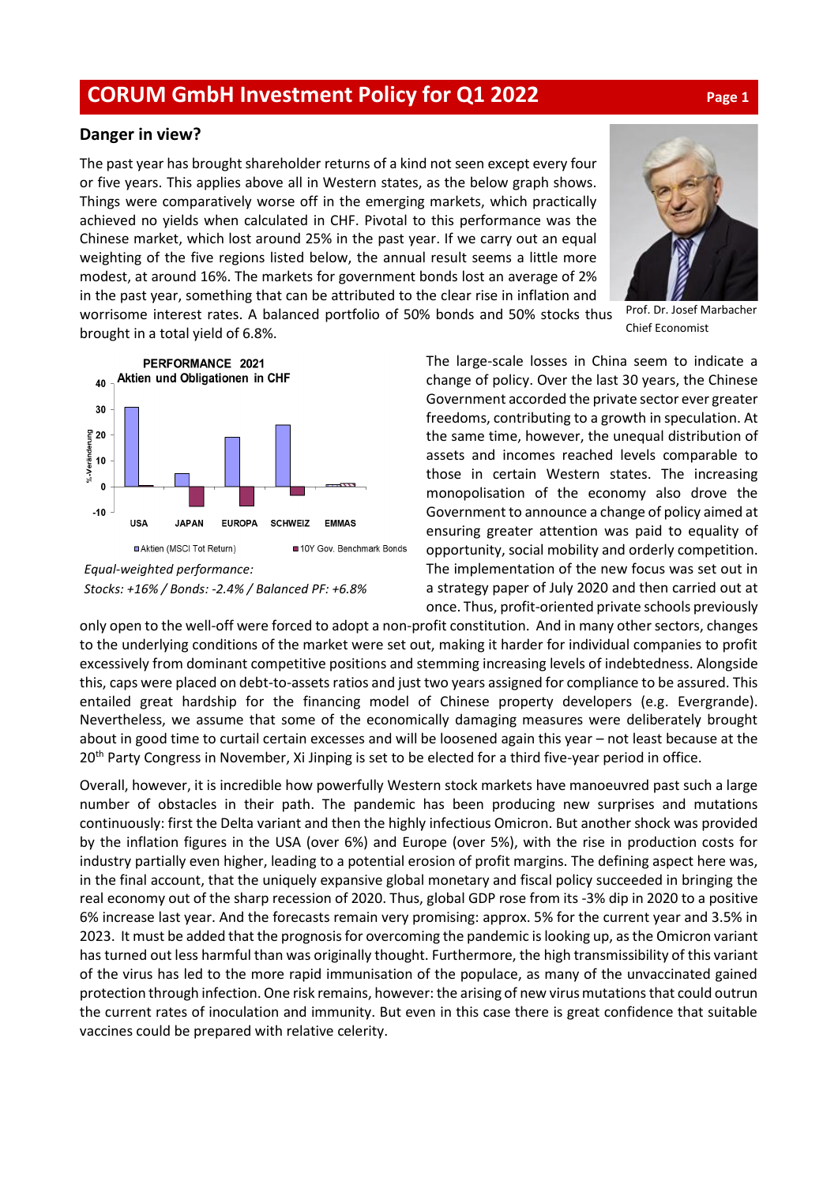## **CORUM GmbH Investment Policy for Q1 2022 Page <sup>1</sup>**

## **Danger in view?**

The past year has brought shareholder returns of a kind not seen except every four or five years. This applies above all in Western states, as the below graph shows. Things were comparatively worse off in the emerging markets, which practically achieved no yields when calculated in CHF. Pivotal to this performance was the Chinese market, which lost around 25% in the past year. If we carry out an equal weighting of the five regions listed below, the annual result seems a little more modest, at around 16%. The markets for government bonds lost an average of 2% in the past year, something that can be attributed to the clear rise in inflation and



Prof. Dr. Josef Marbacher Chief Economist

worrisome interest rates. A balanced portfolio of 50% bonds and 50% stocks thus brought in a total yield of 6.8%.



*Stocks: +16% / Bonds: -2.4% / Balanced PF: +6.8%*

The large-scale losses in China seem to indicate a change of policy. Over the last 30 years, the Chinese Government accorded the private sector ever greater freedoms, contributing to a growth in speculation. At the same time, however, the unequal distribution of assets and incomes reached levels comparable to those in certain Western states. The increasing monopolisation of the economy also drove the Government to announce a change of policy aimed at ensuring greater attention was paid to equality of opportunity, social mobility and orderly competition. The implementation of the new focus was set out in a strategy paper of July 2020 and then carried out at once. Thus, profit-oriented private schools previously

only open to the well-off were forced to adopt a non-profit constitution. And in many other sectors, changes to the underlying conditions of the market were set out, making it harder for individual companies to profit excessively from dominant competitive positions and stemming increasing levels of indebtedness. Alongside this, caps were placed on debt-to-assets ratios and just two years assigned for compliance to be assured. This entailed great hardship for the financing model of Chinese property developers (e.g. Evergrande). Nevertheless, we assume that some of the economically damaging measures were deliberately brought about in good time to curtail certain excesses and will be loosened again this year – not least because at the 20<sup>th</sup> Party Congress in November, Xi Jinping is set to be elected for a third five-year period in office.

Overall, however, it is incredible how powerfully Western stock markets have manoeuvred past such a large number of obstacles in their path. The pandemic has been producing new surprises and mutations continuously: first the Delta variant and then the highly infectious Omicron. But another shock was provided by the inflation figures in the USA (over 6%) and Europe (over 5%), with the rise in production costs for industry partially even higher, leading to a potential erosion of profit margins. The defining aspect here was, in the final account, that the uniquely expansive global monetary and fiscal policy succeeded in bringing the real economy out of the sharp recession of 2020. Thus, global GDP rose from its -3% dip in 2020 to a positive 6% increase last year. And the forecasts remain very promising: approx. 5% for the current year and 3.5% in 2023. It must be added that the prognosis for overcoming the pandemic is looking up, as the Omicron variant has turned out less harmful than was originally thought. Furthermore, the high transmissibility of this variant of the virus has led to the more rapid immunisation of the populace, as many of the unvaccinated gained protection through infection. One risk remains, however: the arising of new virus mutations that could outrun the current rates of inoculation and immunity. But even in this case there is great confidence that suitable vaccines could be prepared with relative celerity.